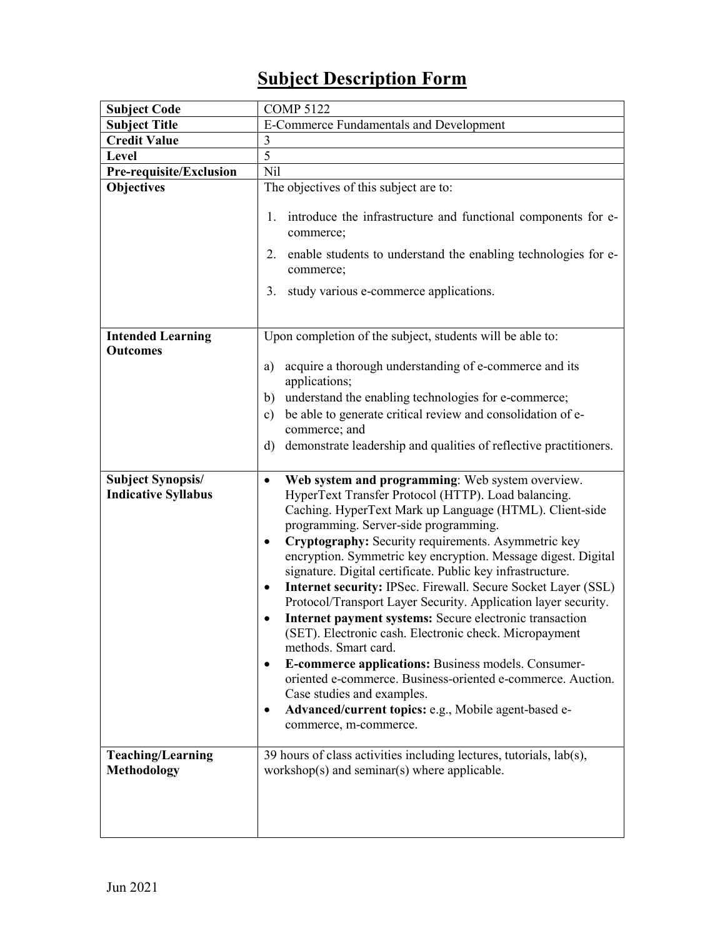## **Subject Description Form**

| <b>Subject Code</b>                                    | <b>COMP 5122</b>                                                                                                                                                                                                                                                                                                                                                                                                                                                                                                                                                                                                                                                                                                                                                                                                                                                                                                                                                         |  |  |  |  |  |
|--------------------------------------------------------|--------------------------------------------------------------------------------------------------------------------------------------------------------------------------------------------------------------------------------------------------------------------------------------------------------------------------------------------------------------------------------------------------------------------------------------------------------------------------------------------------------------------------------------------------------------------------------------------------------------------------------------------------------------------------------------------------------------------------------------------------------------------------------------------------------------------------------------------------------------------------------------------------------------------------------------------------------------------------|--|--|--|--|--|
| <b>Subject Title</b>                                   | <b>E-Commerce Fundamentals and Development</b>                                                                                                                                                                                                                                                                                                                                                                                                                                                                                                                                                                                                                                                                                                                                                                                                                                                                                                                           |  |  |  |  |  |
| <b>Credit Value</b>                                    | 3                                                                                                                                                                                                                                                                                                                                                                                                                                                                                                                                                                                                                                                                                                                                                                                                                                                                                                                                                                        |  |  |  |  |  |
| Level                                                  | $\overline{5}$                                                                                                                                                                                                                                                                                                                                                                                                                                                                                                                                                                                                                                                                                                                                                                                                                                                                                                                                                           |  |  |  |  |  |
| Pre-requisite/Exclusion                                | <b>Nil</b>                                                                                                                                                                                                                                                                                                                                                                                                                                                                                                                                                                                                                                                                                                                                                                                                                                                                                                                                                               |  |  |  |  |  |
| <b>Objectives</b>                                      | The objectives of this subject are to:                                                                                                                                                                                                                                                                                                                                                                                                                                                                                                                                                                                                                                                                                                                                                                                                                                                                                                                                   |  |  |  |  |  |
|                                                        |                                                                                                                                                                                                                                                                                                                                                                                                                                                                                                                                                                                                                                                                                                                                                                                                                                                                                                                                                                          |  |  |  |  |  |
|                                                        | 1. introduce the infrastructure and functional components for e-<br>commerce;                                                                                                                                                                                                                                                                                                                                                                                                                                                                                                                                                                                                                                                                                                                                                                                                                                                                                            |  |  |  |  |  |
|                                                        | 2. enable students to understand the enabling technologies for e-<br>commerce;                                                                                                                                                                                                                                                                                                                                                                                                                                                                                                                                                                                                                                                                                                                                                                                                                                                                                           |  |  |  |  |  |
|                                                        | 3.<br>study various e-commerce applications.                                                                                                                                                                                                                                                                                                                                                                                                                                                                                                                                                                                                                                                                                                                                                                                                                                                                                                                             |  |  |  |  |  |
| <b>Intended Learning</b><br><b>Outcomes</b>            | Upon completion of the subject, students will be able to:                                                                                                                                                                                                                                                                                                                                                                                                                                                                                                                                                                                                                                                                                                                                                                                                                                                                                                                |  |  |  |  |  |
|                                                        | acquire a thorough understanding of e-commerce and its<br>a)<br>applications;                                                                                                                                                                                                                                                                                                                                                                                                                                                                                                                                                                                                                                                                                                                                                                                                                                                                                            |  |  |  |  |  |
|                                                        | understand the enabling technologies for e-commerce;<br>b)                                                                                                                                                                                                                                                                                                                                                                                                                                                                                                                                                                                                                                                                                                                                                                                                                                                                                                               |  |  |  |  |  |
|                                                        | be able to generate critical review and consolidation of e-<br>c)<br>commerce; and                                                                                                                                                                                                                                                                                                                                                                                                                                                                                                                                                                                                                                                                                                                                                                                                                                                                                       |  |  |  |  |  |
|                                                        | $\rm d$<br>demonstrate leadership and qualities of reflective practitioners.                                                                                                                                                                                                                                                                                                                                                                                                                                                                                                                                                                                                                                                                                                                                                                                                                                                                                             |  |  |  |  |  |
| <b>Subject Synopsis/</b><br><b>Indicative Syllabus</b> | Web system and programming: Web system overview.<br>$\bullet$<br>HyperText Transfer Protocol (HTTP). Load balancing.<br>Caching. HyperText Mark up Language (HTML). Client-side<br>programming. Server-side programming.<br>Cryptography: Security requirements. Asymmetric key<br>٠<br>encryption. Symmetric key encryption. Message digest. Digital<br>signature. Digital certificate. Public key infrastructure.<br><b>Internet security: IPSec. Firewall. Secure Socket Layer (SSL)</b><br>Protocol/Transport Layer Security. Application layer security.<br>Internet payment systems: Secure electronic transaction<br>(SET). Electronic cash. Electronic check. Micropayment<br>methods. Smart card.<br><b>E-commerce applications:</b> Business models. Consumer-<br>$\bullet$<br>oriented e-commerce. Business-oriented e-commerce. Auction.<br>Case studies and examples.<br>Advanced/current topics: e.g., Mobile agent-based e-<br>٠<br>commerce, m-commerce. |  |  |  |  |  |
| <b>Teaching/Learning</b><br>Methodology                | 39 hours of class activities including lectures, tutorials, lab(s),<br>workshop(s) and seminar(s) where applicable.                                                                                                                                                                                                                                                                                                                                                                                                                                                                                                                                                                                                                                                                                                                                                                                                                                                      |  |  |  |  |  |